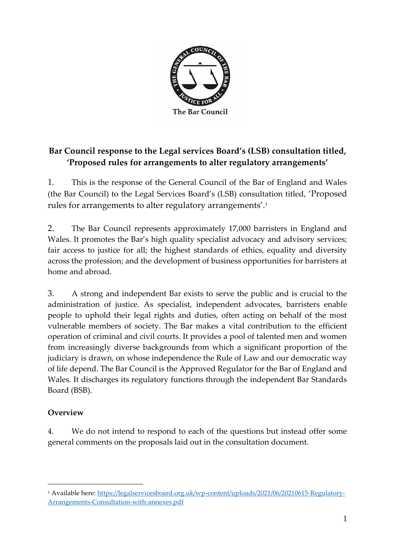

## **Bar Council response to the Legal services Board's (LSB) consultation titled, 'Proposed rules for arrangements to alter regulatory arrangements'**

1. This is the response of the General Council of the Bar of England and Wales (the Bar Council) to the Legal Services Board's (LSB) consultation titled, 'Proposed rules for arrangements to alter regulatory arrangements'. 1

2. The Bar Council represents approximately 17,000 barristers in England and Wales. It promotes the Bar's high quality specialist advocacy and advisory services; fair access to justice for all; the highest standards of ethics, equality and diversity across the profession; and the development of business opportunities for barristers at home and abroad.

3. A strong and independent Bar exists to serve the public and is crucial to the administration of justice. As specialist, independent advocates, barristers enable people to uphold their legal rights and duties, often acting on behalf of the most vulnerable members of society. The Bar makes a vital contribution to the efficient operation of criminal and civil courts. It provides a pool of talented men and women from increasingly diverse backgrounds from which a significant proportion of the judiciary is drawn, on whose independence the Rule of Law and our democratic way of life depend. The Bar Council is the Approved Regulator for the Bar of England and Wales. It discharges its regulatory functions through the independent Bar Standards Board (BSB).

## **Overview**

4. We do not intend to respond to each of the questions but instead offer some general comments on the proposals laid out in the consultation document.

<sup>1</sup> Available here: [https://legalservicesboard.org.uk/wp-content/uploads/2021/06/20210615-Regulatory-](https://legalservicesboard.org.uk/wp-content/uploads/2021/06/20210615-Regulatory-Arrangements-Consultation-with-annexes.pdf)[Arrangements-Consultation-with-annexes.pdf](https://legalservicesboard.org.uk/wp-content/uploads/2021/06/20210615-Regulatory-Arrangements-Consultation-with-annexes.pdf)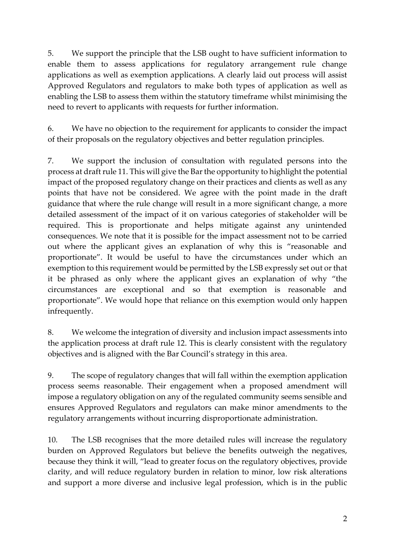5. We support the principle that the LSB ought to have sufficient information to enable them to assess applications for regulatory arrangement rule change applications as well as exemption applications. A clearly laid out process will assist Approved Regulators and regulators to make both types of application as well as enabling the LSB to assess them within the statutory timeframe whilst minimising the need to revert to applicants with requests for further information.

6. We have no objection to the requirement for applicants to consider the impact of their proposals on the regulatory objectives and better regulation principles.

7. We support the inclusion of consultation with regulated persons into the process at draft rule 11. This will give the Bar the opportunity to highlight the potential impact of the proposed regulatory change on their practices and clients as well as any points that have not be considered. We agree with the point made in the draft guidance that where the rule change will result in a more significant change, a more detailed assessment of the impact of it on various categories of stakeholder will be required. This is proportionate and helps mitigate against any unintended consequences. We note that it is possible for the impact assessment not to be carried out where the applicant gives an explanation of why this is "reasonable and proportionate". It would be useful to have the circumstances under which an exemption to this requirement would be permitted by the LSB expressly set out or that it be phrased as only where the applicant gives an explanation of why "the circumstances are exceptional and so that exemption is reasonable and proportionate". We would hope that reliance on this exemption would only happen infrequently.

8. We welcome the integration of diversity and inclusion impact assessments into the application process at draft rule 12. This is clearly consistent with the regulatory objectives and is aligned with the Bar Council's strategy in this area.

9. The scope of regulatory changes that will fall within the exemption application process seems reasonable. Their engagement when a proposed amendment will impose a regulatory obligation on any of the regulated community seems sensible and ensures Approved Regulators and regulators can make minor amendments to the regulatory arrangements without incurring disproportionate administration.

10. The LSB recognises that the more detailed rules will increase the regulatory burden on Approved Regulators but believe the benefits outweigh the negatives, because they think it will, "lead to greater focus on the regulatory objectives, provide clarity, and will reduce regulatory burden in relation to minor, low risk alterations and support a more diverse and inclusive legal profession, which is in the public